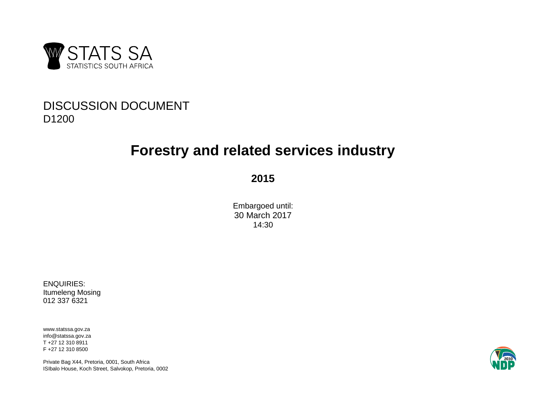

## DISCUSSION DOCUMENT D1200

# **Forestry and related services industry**

**2015**

Embargoed until: 30 March 2017 14:30

ENQUIRIES: Itumeleng Mosing 012 337 6321

www.statssa.gov.za info@statssa.gov.za T +27 12 310 8911 F +27 12 310 8500

Private Bag X44, Pretoria, 0001, South Africa ISIbalo House, Koch Street, Salvokop, Pretoria, 0002

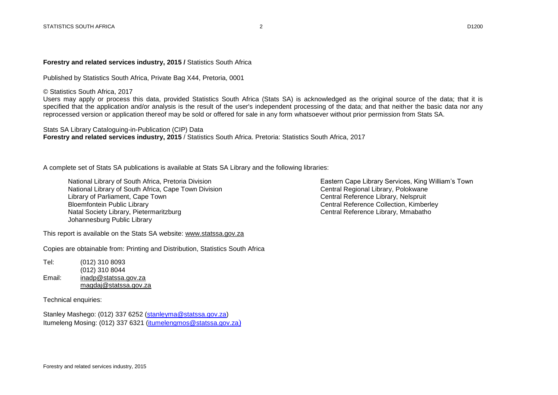#### **Forestry and related services industry, 2015 / Statistics South Africa**

Published by Statistics South Africa, Private Bag X44, Pretoria, 0001

© Statistics South Africa, 2017

Users may apply or process this data, provided Statistics South Africa (Stats SA) is acknowledged as the original source of the data; that it is specified that the application and/or analysis is the result of the user's independent processing of the data; and that neither the basic data nor any reprocessed version or application thereof may be sold or offered for sale in any form whatsoever without prior permission from Stats SA.

Stats SA Library Cataloguing-in-Publication (CIP) Data **Forestry and related services industry, 2015** / Statistics South Africa. Pretoria: Statistics South Africa, 2017

A complete set of Stats SA publications is available at Stats SA Library and the following libraries:

National Library of South Africa, Pretoria Division Election Eastern Cape Library Services, King William's Town<br>National Library of South Africa, Cape Town Division Communication Central Regional Library, Polokwane National Library of South Africa, Cape Town Division Communical Central Regional Library, Polokwane<br>Central Reference Library, Nelsoruit Library of Parliament, Cape Town Bloemfontein Public Library and Europe Collection, Kimberley<br>
Natal Society Library, Pietermaritzburg<br>
Central Reference Library, Mmabatho Natal Society Library, Pietermaritzburg Johannesburg Public Library

This report is available on the Stats SA website: [www.statssa.gov.za](http://www.statssa.gov.za/)

Copies are obtainable from: Printing and Distribution, Statistics South Africa

Tel: (012) 310 8093 (012) 310 8044 Email: [inadp@statssa.gov.za](mailto:inadp@statssa.gov.za) [magdaj@statssa.gov.za](mailto:magdaj@statssa.gov.za)

Technical enquiries:

Stanley Mashego: (012) 337 6252 [\(stanleyma@statssa.gov.za\)](mailto:stanleyma@statssa.gov.za) Itumeleng Mosing: (012) 337 6321 [\(itumelengmos@statssa.gov.za](mailto:itumelengmos@statssa.gov.za))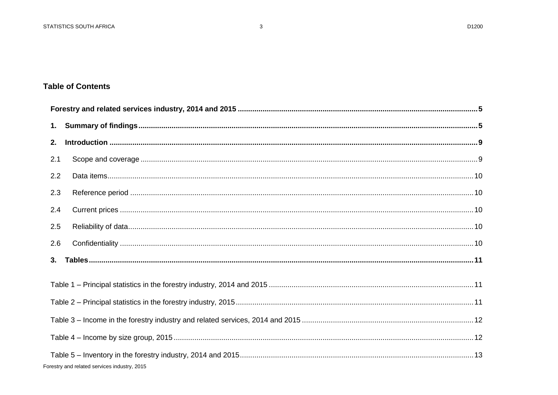## **Table of Contents**

| 1.  |                                              |  |
|-----|----------------------------------------------|--|
| 2.  |                                              |  |
| 2.1 |                                              |  |
| 2.2 |                                              |  |
| 2.3 |                                              |  |
| 2.4 |                                              |  |
| 2.5 |                                              |  |
| 2.6 |                                              |  |
| 3.  |                                              |  |
|     |                                              |  |
|     |                                              |  |
|     |                                              |  |
|     |                                              |  |
|     | Forestry and related services industry, 2015 |  |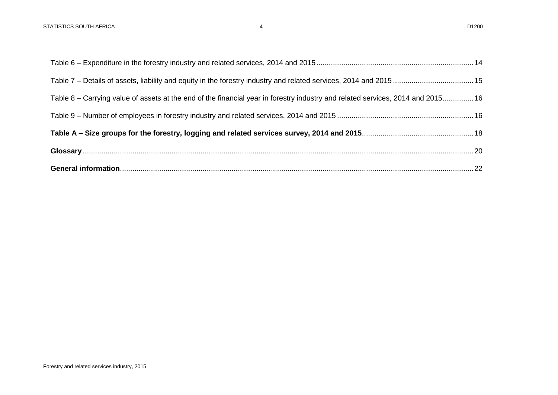| Table 8 – Carrying value of assets at the end of the financial year in forestry industry and related services, 2014 and 2015 16 |
|---------------------------------------------------------------------------------------------------------------------------------|
|                                                                                                                                 |
|                                                                                                                                 |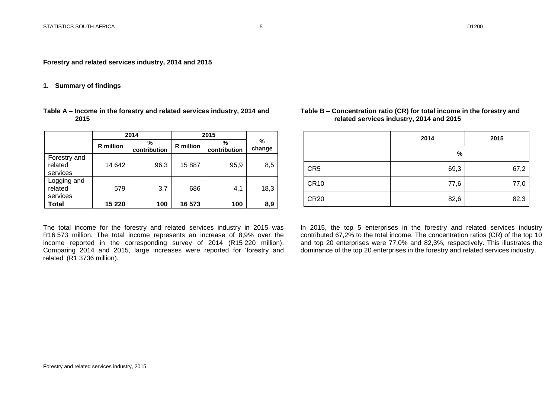<span id="page-4-0"></span>**Forestry and related services industry, 2014 and 2015**

## <span id="page-4-1"></span>**1. Summary of findings**

| Table A – Income in the forestry and related services industry, 2014 and |  |
|--------------------------------------------------------------------------|--|
| 2015                                                                     |  |

|                                     | 2014             |                   | 2015             |                   |             |
|-------------------------------------|------------------|-------------------|------------------|-------------------|-------------|
|                                     | <b>R</b> million | %<br>contribution | <b>R</b> million | %<br>contribution | %<br>change |
| Forestry and<br>related<br>services | 14 642           | 96,3              | 15887            | 95,9              | 8,5         |
| Logging and<br>related<br>services  | 579              | 3,7               | 686              | 4,1               | 18,3        |
| Total                               | 15 2 20          | 100               | 16 573           | 100               | 8,9         |

The total income for the forestry and related services industry in 2015 was R16 573 million. The total income represents an increase of 8,9% over the income reported in the corresponding survey of 2014 (R15 220 million). Comparing 2014 and 2015, large increases were reported for 'forestry and related' (R1 3736 million).

## **Table B – Concentration ratio (CR) for total income in the forestry and related services industry, 2014 and 2015**

|                 | 2014 | 2015 |
|-----------------|------|------|
|                 | $\%$ |      |
| CR <sub>5</sub> | 69,3 | 67,2 |
| <b>CR10</b>     | 77,6 | 77,0 |
| <b>CR20</b>     | 82,6 | 82,3 |

In 2015, the top 5 enterprises in the forestry and related services industry contributed 67,2% to the total income. The concentration ratios (CR) of the top 10 and top 20 enterprises were 77,0% and 82,3%, respectively. This illustrates the dominance of the top 20 enterprises in the forestry and related services industry.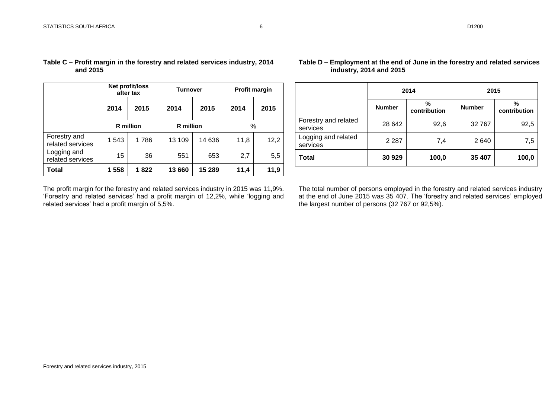|                                  | Net profit/loss<br>after tax |      | Turnover         |        | <b>Profit margin</b> |      |  |
|----------------------------------|------------------------------|------|------------------|--------|----------------------|------|--|
|                                  | 2014                         | 2015 | 2014             | 2015   | 2014                 | 2015 |  |
|                                  | <b>R</b> million             |      | <b>R</b> million |        | %                    |      |  |
| Forestry and<br>related services | 1 543                        | 1786 | 13 109           | 14 636 | 11,8                 | 12,2 |  |
| Logging and<br>related services  | 15                           | 36   | 551              | 653    | 2,7                  | 5,5  |  |
| Total                            | 1 558                        | 1822 | 13 660           | 15 289 | 11,4                 | 11,9 |  |

## **Table C – Profit margin in the forestry and related services industry, 2014 and 2015**

The profit margin for the forestry and related services industry in 2015 was 11,9%. 'Forestry and related services' had a profit margin of 12,2%, while 'logging and related services' had a profit margin of 5,5%.

## **Table D – Employment at the end of June in the forestry and related services industry, 2014 and 2015**

|                                  | 2014          |                   | 2015          |                   |  |
|----------------------------------|---------------|-------------------|---------------|-------------------|--|
|                                  | <b>Number</b> | %<br>contribution | <b>Number</b> | %<br>contribution |  |
| Forestry and related<br>services | 28 642        | 92,6              | 32767         | 92,5              |  |
| Logging and related<br>services  | 2 2 8 7       | 7,4               | 2640          | 7,5               |  |
| <b>Total</b>                     | 30 929        | 100,0             | 35 407        | 100,0             |  |

The total number of persons employed in the forestry and related services industry at the end of June 2015 was 35 407. The 'forestry and related services' employed the largest number of persons (32 767 or 92,5%).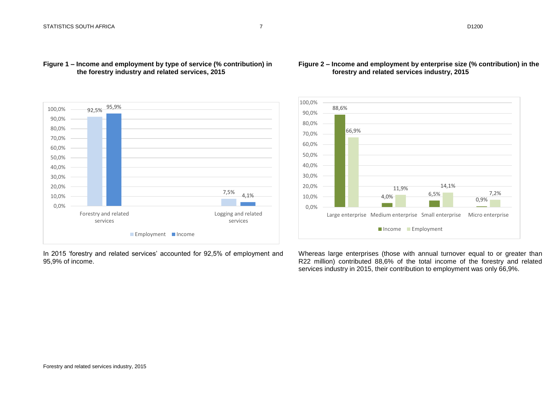

## **Figure 1 – Income and employment by type of service (% contribution) in the forestry industry and related services, 2015**



## In 2015 'forestry and related services' accounted for 92,5% of employment and 95,9% of income.

Whereas large enterprises (those with annual turnover equal to or greater than R22 million) contributed 88,6% of the total income of the forestry and related services industry in 2015, their contribution to employment was only 66,9%.

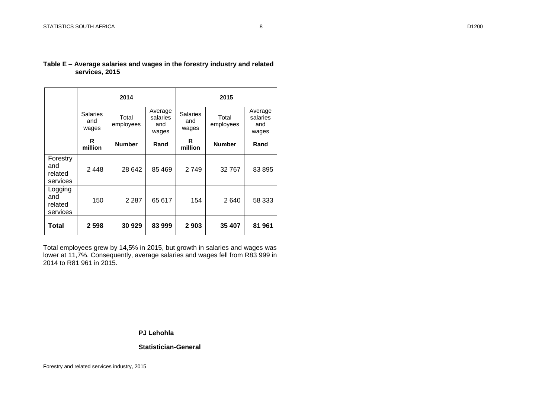|                                        |                                 | 2014               |                                     | 2015                            |                    |                                     |  |
|----------------------------------------|---------------------------------|--------------------|-------------------------------------|---------------------------------|--------------------|-------------------------------------|--|
|                                        | <b>Salaries</b><br>and<br>wages | Total<br>employees | Average<br>salaries<br>and<br>wages | <b>Salaries</b><br>and<br>wages | Total<br>employees | Average<br>salaries<br>and<br>wages |  |
|                                        | R<br>million                    | <b>Number</b>      | Rand                                | R<br>million                    | <b>Number</b>      | Rand                                |  |
| Forestry<br>and<br>related<br>services | 2448                            | 28 642             | 85 469                              | 2749                            | 32 767             | 83 895                              |  |
| Logging<br>and<br>related<br>services  | 150                             | 2 2 8 7            | 65 617                              | 154                             | 2640               | 58 333                              |  |
| Total                                  | 2 5 9 8                         | 30 929             | 83 999                              | 2903                            | 35 407             | 81 961                              |  |

## **Table E – Average salaries and wages in the forestry industry and related services, 2015**

Total employees grew by 14,5% in 2015, but growth in salaries and wages was lower at 11,7%. Consequently, average salaries and wages fell from R83 999 in 2014 to R81 961 in 2015.

**PJ Lehohla**

**Statistician-General**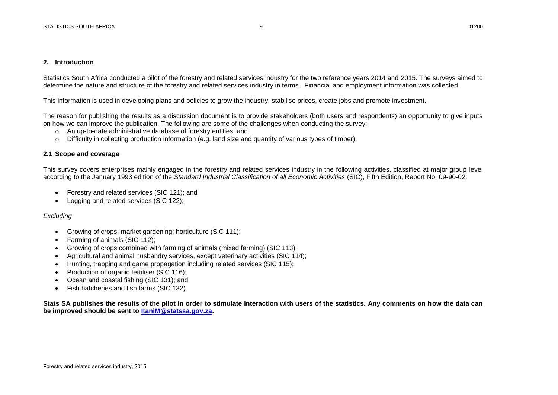#### <span id="page-8-0"></span>**2. Introduction**

Statistics South Africa conducted a pilot of the forestry and related services industry for the two reference years 2014 and 2015. The surveys aimed to determine the nature and structure of the forestry and related services industry in terms. Financial and employment information was collected.

This information is used in developing plans and policies to grow the industry, stabilise prices, create jobs and promote investment.

The reason for publishing the results as a discussion document is to provide stakeholders (both users and respondents) an opportunity to give inputs on how we can improve the publication. The following are some of the challenges when conducting the survey:

- o An up-to-date administrative database of forestry entities, and
- $\circ$  Difficulty in collecting production information (e.g. land size and quantity of various types of timber).

## <span id="page-8-1"></span>**2.1 Scope and coverage**

This survey covers enterprises mainly engaged in the forestry and related services industry in the following activities, classified at major group level according to the January 1993 edition of the *Standard Industrial Classification of all Economic Activities* (SIC), Fifth Edition, Report No. 09-90-02:

- Forestry and related services (SIC 121); and
- Logging and related services (SIC 122);

## *Excluding*

- Growing of crops, market gardening; horticulture (SIC 111);
- Farming of animals (SIC 112);
- Growing of crops combined with farming of animals (mixed farming) (SIC 113);
- Agricultural and animal husbandry services, except veterinary activities (SIC 114);
- Hunting, trapping and game propagation including related services (SIC 115);
- Production of organic fertiliser (SIC 116);
- Ocean and coastal fishing (SIC 131); and
- Fish hatcheries and fish farms (SIC 132).

**Stats SA publishes the results of the pilot in order to stimulate interaction with users of the statistics. Any comments on how the data can be improved should be sent to [ItaniM@statssa.gov.za.](mailto:ItaniM@statssa.gov.za)**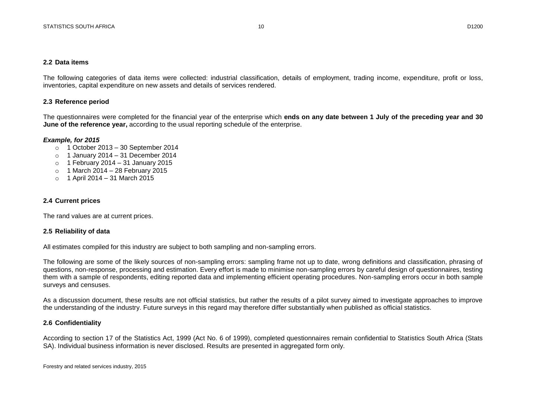#### <span id="page-9-0"></span>**2.2 Data items**

The following categories of data items were collected: industrial classification, details of employment, trading income, expenditure, profit or loss, inventories, capital expenditure on new assets and details of services rendered.

## <span id="page-9-1"></span>**2.3 Reference period**

The questionnaires were completed for the financial year of the enterprise which **ends on any date between 1 July of the preceding year and 30 June of the reference year,** according to the usual reporting schedule of the enterprise.

## *Example, for 2015*

- o 1 October 2013 30 September 2014
- $\circ$  1 January 2014 31 December 2014
- $\circ$  1 February 2014 31 January 2015
- $\circ$  1 March 2014 28 February 2015
- o 1 April 2014 31 March 2015

## <span id="page-9-2"></span>**2.4 Current prices**

The rand values are at current prices.

## <span id="page-9-3"></span>**2.5 Reliability of data**

All estimates compiled for this industry are subject to both sampling and non-sampling errors.

The following are some of the likely sources of non-sampling errors: sampling frame not up to date, wrong definitions and classification, phrasing of questions, non-response, processing and estimation. Every effort is made to minimise non-sampling errors by careful design of questionnaires, testing them with a sample of respondents, editing reported data and implementing efficient operating procedures. Non-sampling errors occur in both sample surveys and censuses.

As a discussion document, these results are not official statistics, but rather the results of a pilot survey aimed to investigate approaches to improve the understanding of the industry. Future surveys in this regard may therefore differ substantially when published as official statistics.

## <span id="page-9-4"></span>**2.6 Confidentiality**

According to section 17 of the Statistics Act, 1999 (Act No. 6 of 1999), completed questionnaires remain confidential to Statistics South Africa (Stats SA). Individual business information is never disclosed. Results are presented in aggregated form only.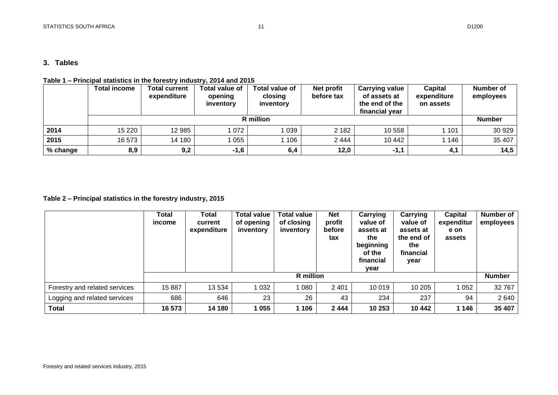## <span id="page-10-0"></span>**3. Tables**

## <span id="page-10-1"></span>**Table 1 – Principal statistics in the forestry industry, 2014 and 2015**

|          | <b>Total income</b> | <b>Total current</b><br>expenditure | Total value of<br>opening<br>inventory | Total value of<br>closing<br>inventory | Net profit<br>before tax | <b>Carrying value</b><br>of assets at<br>the end of the<br>financial year | Capital<br>expenditure<br>on assets | Number of<br>employees |  |  |
|----------|---------------------|-------------------------------------|----------------------------------------|----------------------------------------|--------------------------|---------------------------------------------------------------------------|-------------------------------------|------------------------|--|--|
|          | R million           |                                     |                                        |                                        |                          |                                                                           |                                     |                        |  |  |
| 2014     | 15 2 20             | 12 985                              | 072                                    | 039                                    | 2 1 8 2                  | 10 558                                                                    | 101                                 | 30 929                 |  |  |
| 2015     | 16573               | 14 180                              | 055                                    | 1 106                                  | 2444                     | 10 442                                                                    | 1 146                               | 35 407                 |  |  |
| % change | 8,9                 | 9,2                                 | $-1,6$                                 | 6,4                                    | 12,0                     | $-1,1$                                                                    | 4,1                                 | 14,5                   |  |  |

## <span id="page-10-2"></span>**Table 2 – Principal statistics in the forestry industry, 2015**

|                               | Total<br>income | Total<br>current<br>expenditure | <b>Total value</b><br>of opening<br>inventory | <b>Total value</b><br>of closing<br>inventory | <b>Net</b><br>profit<br>before<br>tax | Carrying<br>value of<br>assets at<br>the<br>beginning<br>of the<br>financial<br>year | Carrying<br>value of<br>assets at<br>the end of<br>the<br>financial<br>year | Capital<br>expenditur<br>e on<br>assets | Number of<br>employees |
|-------------------------------|-----------------|---------------------------------|-----------------------------------------------|-----------------------------------------------|---------------------------------------|--------------------------------------------------------------------------------------|-----------------------------------------------------------------------------|-----------------------------------------|------------------------|
|                               | R million       |                                 |                                               |                                               |                                       |                                                                                      |                                                                             |                                         | <b>Number</b>          |
| Forestry and related services | 15887           | 13 5 34                         | 1 0 3 2                                       | 1 080                                         | 2 4 0 1                               | 10 019                                                                               | 10 205                                                                      | 1 0 5 2                                 | 32767                  |
| Logging and related services  | 686             | 646                             | 23                                            | 26                                            | 43                                    | 234                                                                                  | 237                                                                         | 94                                      | 2 640                  |
| <b>Total</b>                  | 16 573          | 14 180                          | 1 055                                         | 1 106                                         | 2444                                  | 10 253                                                                               | 10 442                                                                      | 1 1 4 6                                 | 35 407                 |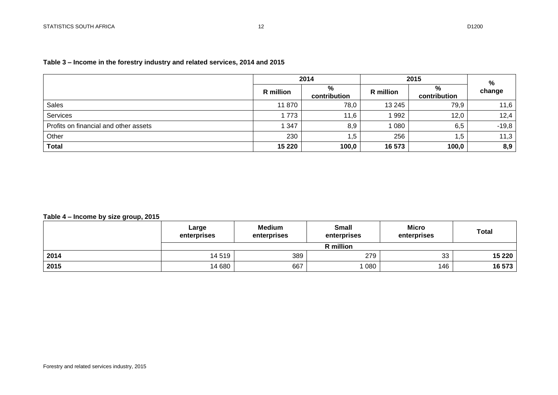## <span id="page-11-0"></span>**Table 3 – Income in the forestry industry and related services, 2014 and 2015**

|                                       | 2014      |                   | 2015      | %                 |         |
|---------------------------------------|-----------|-------------------|-----------|-------------------|---------|
|                                       | R million | %<br>contribution | R million | %<br>contribution | change  |
| <b>Sales</b>                          | 11870     | 78,0              | 13 245    | 79,9              | 11,6    |
| Services                              | 1773      | 11,6              | 1992      | 12,0              | 12,4    |
| Profits on financial and other assets | 1 347     | 8,9               | 1 080     | 6,5               | $-19,8$ |
| Other                                 | 230       | 1,5               | 256       | 5, ا              | 11,3    |
| <b>Total</b>                          | 15 2 20   | 100,0             | 16 573    | 100,0             | 8,9     |

## <span id="page-11-1"></span>**Table 4 – Income by size group, 2015**

|      | Large<br>enterprises | <b>Medium</b><br>enterprises | <b>Small</b><br>enterprises | <b>Micro</b><br>enterprises | <b>Total</b> |
|------|----------------------|------------------------------|-----------------------------|-----------------------------|--------------|
|      |                      |                              | R million                   |                             |              |
| 2014 | 14 5 19              | 389                          | 279                         | 33                          | 15 2 20      |
| 2015 | 14 680               | 667                          | 080                         | 146                         | 16 573       |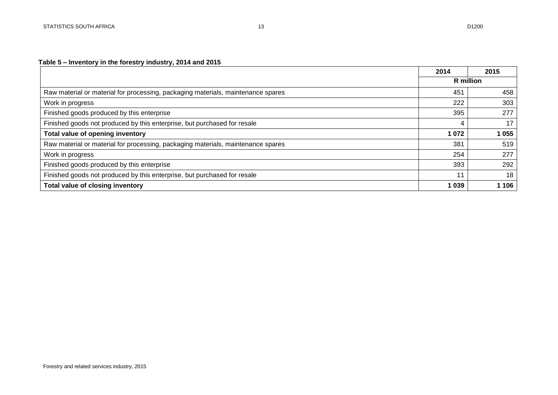## <span id="page-12-0"></span>**Table 5 – Inventory in the forestry industry, 2014 and 2015**

|                                                                                  | 2014             | 2015    |
|----------------------------------------------------------------------------------|------------------|---------|
|                                                                                  | <b>R</b> million |         |
| Raw material or material for processing, packaging materials, maintenance spares | 451              | 458     |
| Work in progress                                                                 | 222              | 303     |
| Finished goods produced by this enterprise                                       | 395              | 277     |
| Finished goods not produced by this enterprise, but purchased for resale         |                  | 17      |
| Total value of opening inventory                                                 | 1 0 7 2          | 1 0 5 5 |
| Raw material or material for processing, packaging materials, maintenance spares | 381              | 519     |
| Work in progress                                                                 | 254              | 277     |
| Finished goods produced by this enterprise                                       | 393              | 292     |
| Finished goods not produced by this enterprise, but purchased for resale         | 11               | 18      |
| Total value of closing inventory                                                 | 1 0 3 9          | 1 106   |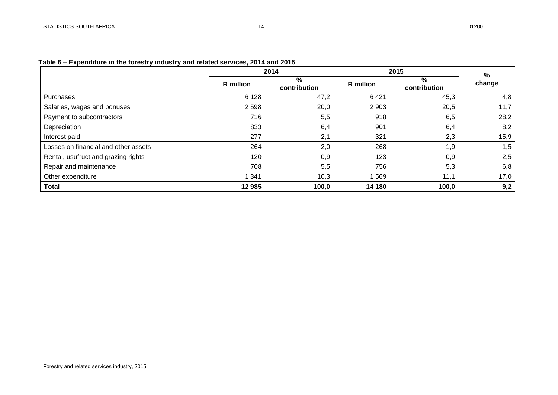## <span id="page-13-0"></span>**Table 6 – Expenditure in the forestry industry and related services, 2014 and 2015**

|                                      | 2014             |                   | 2015             |                   | $\%$   |
|--------------------------------------|------------------|-------------------|------------------|-------------------|--------|
|                                      | <b>R</b> million | %<br>contribution | <b>R</b> million | %<br>contribution | change |
| Purchases                            | 6 1 2 8          | 47,2              | 6421             | 45,3              | 4,8    |
| Salaries, wages and bonuses          | 2 5 9 8          | 20,0              | 2 9 0 3          | 20,5              | 11,7   |
| Payment to subcontractors            | 716              | 5,5               | 918              | 6,5               | 28,2   |
| Depreciation                         | 833              | 6,4               | 901              | 6,4               | 8,2    |
| Interest paid                        | 277              | 2,1               | 321              | 2,3               | 15,9   |
| Losses on financial and other assets | 264              | 2,0               | 268              | 1,9               | 1,5    |
| Rental, usufruct and grazing rights  | 120              | 0,9               | 123              | 0,9               | 2,5    |
| Repair and maintenance               | 708              | 5,5               | 756              | 5,3               | 6,8    |
| Other expenditure                    | 341              | 10,3              | 569              | 11,1              | 17,0   |
| <b>Total</b>                         | 12 985           | 100,0             | 14 180           | 100,0             | 9,2    |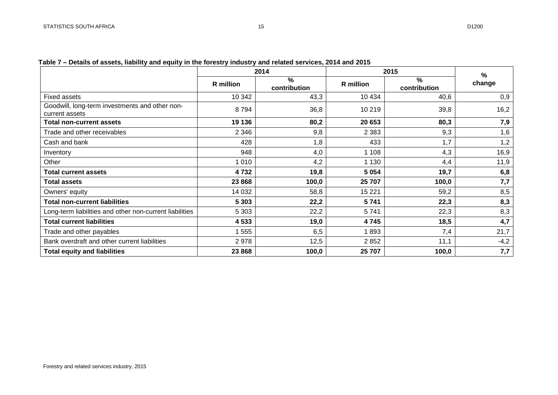<span id="page-14-0"></span>

|  |  |  |  | Table 7 – Details of assets, liability and equity in the forestry industry and related services, 2014 and 2015 |
|--|--|--|--|----------------------------------------------------------------------------------------------------------------|
|--|--|--|--|----------------------------------------------------------------------------------------------------------------|

|                                                                  | 2014      |                      | 2015      | %                 |        |  |
|------------------------------------------------------------------|-----------|----------------------|-----------|-------------------|--------|--|
|                                                                  | R million | $\%$<br>contribution | R million | %<br>contribution | change |  |
| <b>Fixed assets</b>                                              | 10 342    | 43,3                 | 10 4 34   | 40,6              | 0,9    |  |
| Goodwill, long-term investments and other non-<br>current assets | 8794      | 36,8                 | 10 219    | 39,8              | 16,2   |  |
| <b>Total non-current assets</b>                                  | 19 136    | 80,2                 | 20 653    | 80,3              | 7,9    |  |
| Trade and other receivables                                      | 2 3 4 6   | 9,8                  | 2 3 8 3   | 9,3               | 1,6    |  |
| Cash and bank                                                    | 428       | 1,8                  | 433       | 1,7               | 1,2    |  |
| Inventory                                                        | 948       | 4,0                  | 1 1 0 8   | 4,3               | 16,9   |  |
| Other                                                            | 1 0 1 0   | 4,2                  | 1 1 3 0   | 4,4               | 11,9   |  |
| <b>Total current assets</b>                                      | 4732      | 19,8                 | 5 0 5 4   | 19,7              | 6,8    |  |
| <b>Total assets</b>                                              | 23 868    | 100,0                | 25 707    | 100,0             | 7,7    |  |
| Owners' equity                                                   | 14 0 32   | 58,8                 | 15 2 21   | 59,2              | 8,5    |  |
| <b>Total non-current liabilities</b>                             | 5 3 0 3   | 22,2                 | 5741      | 22,3              | 8,3    |  |
| Long-term liabilities and other non-current liabilities          | 5 3 0 3   | 22,2                 | 5741      | 22,3              | 8,3    |  |
| <b>Total current liabilities</b>                                 | 4 5 3 3   | 19,0                 | 4745      | 18,5              | 4,7    |  |
| Trade and other payables                                         | 1 555     | 6,5                  | 1893      | 7,4               | 21,7   |  |
| Bank overdraft and other current liabilities                     | 2978      | 12,5                 | 2852      | 11,1              | $-4,2$ |  |
| <b>Total equity and liabilities</b>                              | 23 868    | 100,0                | 25 707    | 100,0             | 7,7    |  |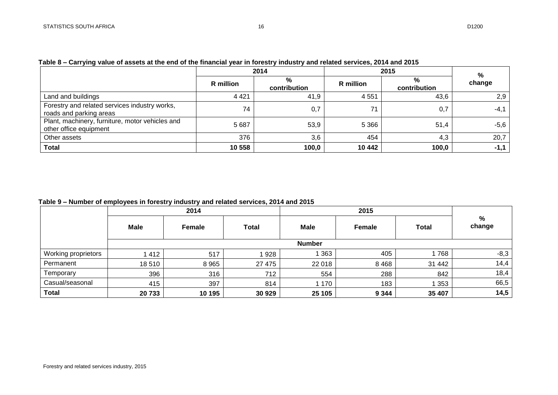|                                                                           | 2014      |                   | 2015      | %                 |        |
|---------------------------------------------------------------------------|-----------|-------------------|-----------|-------------------|--------|
|                                                                           | R million | %<br>contribution | R million | %<br>contribution | change |
| Land and buildings                                                        | 4 4 2 1   | 41,9              | 4 5 5 1   | 43,6              | 2,9    |
| Forestry and related services industry works,<br>roads and parking areas  | 74        | 0,7               | 71        | 0,7               | $-4,1$ |
| Plant, machinery, furniture, motor vehicles and<br>other office equipment | 5 6 8 7   | 53,9              | 5 3 6 6   | 51,4              | $-5,6$ |
| Other assets                                                              | 376       | 3,6               | 454       | 4,3               | 20,7   |
| <b>Total</b>                                                              | 10 558    | 100,0             | 10 442    | 100,0             | $-1,1$ |

## <span id="page-15-0"></span>**Table 8 – Carrying value of assets at the end of the financial year in forestry industry and related services, 2014 and 2015**

<span id="page-15-1"></span>**Table 9 – Number of employees in forestry industry and related services, 2014 and 2015**

|                     |         | 2014    |              |               | 2015    |              |             |
|---------------------|---------|---------|--------------|---------------|---------|--------------|-------------|
|                     | Male    | Female  | <b>Total</b> | Male          | Female  | <b>Total</b> | %<br>change |
|                     |         |         |              | <b>Number</b> |         |              |             |
| Working proprietors | 1 4 1 2 | 517     | 928          | 363           | 405     | 1768         | $-8,3$      |
| Permanent           | 18510   | 8 9 6 5 | 27 475       | 22 018        | 8 4 6 8 | 31 442       | 14,4        |
| Temporary           | 396     | 316     | 712          | 554           | 288     | 842          | 18,4        |
| Casual/seasonal     | 415     | 397     | 814          | 1 170         | 183     | 1353         | 66,5        |
| <b>Total</b>        | 20733   | 10 195  | 30 929       | 25 105        | 9 3 4 4 | 35 407       | 14,5        |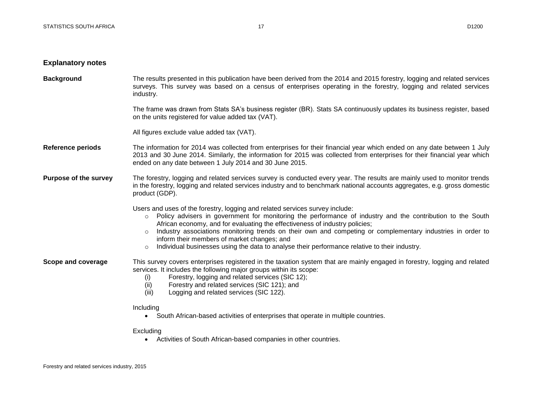#### **Explanatory notes**

**Background** The results presented in this publication have been derived from the 2014 and 2015 forestry, logging and related services surveys. This survey was based on a census of enterprises operating in the forestry, logging and related services industry.

> The frame was drawn from Stats SA's business register (BR). Stats SA continuously updates its business register, based on the units registered for value added tax (VAT).

All figures exclude value added tax (VAT).

- **Reference periods** The information for 2014 was collected from enterprises for their financial year which ended on any date between 1 July 2013 and 30 June 2014. Similarly, the information for 2015 was collected from enterprises for their financial year which ended on any date between 1 July 2014 and 30 June 2015.
- **Purpose of the survey** The forestry, logging and related services survey is conducted every year. The results are mainly used to monitor trends in the forestry, logging and related services industry and to benchmark national accounts aggregates, e.g. gross domestic product (GDP).

Users and uses of the forestry, logging and related services survey include:

- o Policy advisers in government for monitoring the performance of industry and the contribution to the South African economy, and for evaluating the effectiveness of industry policies;
- $\circ$  Industry associations monitoring trends on their own and competing or complementary industries in order to inform their members of market changes; and
- $\circ$  Individual businesses using the data to analyse their performance relative to their industry.

**Scope and coverage** This survey covers enterprises registered in the taxation system that are mainly engaged in forestry, logging and related services. It includes the following major groups within its scope:

- (i) Forestry, logging and related services (SIC 12);
- (ii) Forestry and related services (SIC 121); and
- (iii) Logging and related services (SIC 122).

#### Including

South African-based activities of enterprises that operate in multiple countries.

#### Excluding

Activities of South African-based companies in other countries.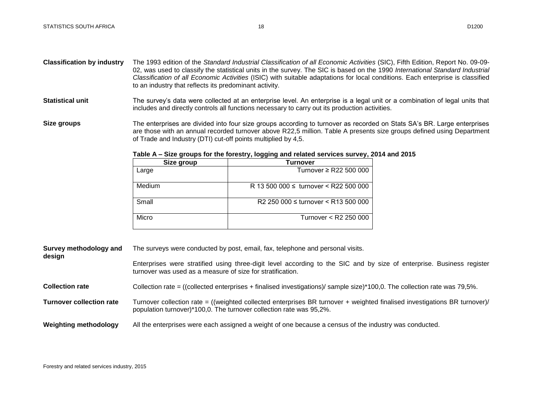- **Classification by industry** The 1993 edition of the *Standard Industrial Classification of all Economic Activities* (SIC), Fifth Edition, Report No. 09-09- 02, was used to classify the statistical units in the survey. The SIC is based on the 1990 *International Standard Industrial Classification of all Economic Activities* (ISIC) with suitable adaptations for local conditions. Each enterprise is classified to an industry that reflects its predominant activity.
- Statistical unit The survey's data were collected at an enterprise level. An enterprise is a legal unit or a combination of legal units that includes and directly controls all functions necessary to carry out its production activities.
- **Size groups** The enterprises are divided into four size groups according to turnover as recorded on Stats SA's BR. Large enterprises are those with an annual recorded turnover above R22,5 million. Table A presents size groups defined using Department of Trade and Industry (DTI) cut-off points multiplied by 4,5.

| Size group | Turnover                                        |
|------------|-------------------------------------------------|
| Large      | Turnover $\geq$ R22 500 000                     |
| Medium     | R 13 500 000 $\leq$ turnover $\leq$ R22 500 000 |
| Small      | R2 250 000 $\leq$ turnover $\leq$ R13 500 000   |
| Micro      | Turnover < R2 250 000                           |

#### <span id="page-17-0"></span>**Table A – Size groups for the forestry, logging and related services survey, 2014 and 2015**

| Survey methodology and<br>design | The surveys were conducted by post, email, fax, telephone and personal visits.                                                                                                                   |  |  |
|----------------------------------|--------------------------------------------------------------------------------------------------------------------------------------------------------------------------------------------------|--|--|
|                                  | Enterprises were stratified using three-digit level according to the SIC and by size of enterprise. Business register<br>turnover was used as a measure of size for stratification.              |  |  |
| <b>Collection rate</b>           | Collection rate = ((collected enterprises + finalised investigations)/ sample size)*100,0. The collection rate was 79,5%.                                                                        |  |  |
| <b>Turnover collection rate</b>  | Turnover collection rate = ((weighted collected enterprises BR turnover + weighted finalised investigations BR turnover)/<br>population turnover)*100,0. The turnover collection rate was 95,2%. |  |  |
| <b>Weighting methodology</b>     | All the enterprises were each assigned a weight of one because a census of the industry was conducted.                                                                                           |  |  |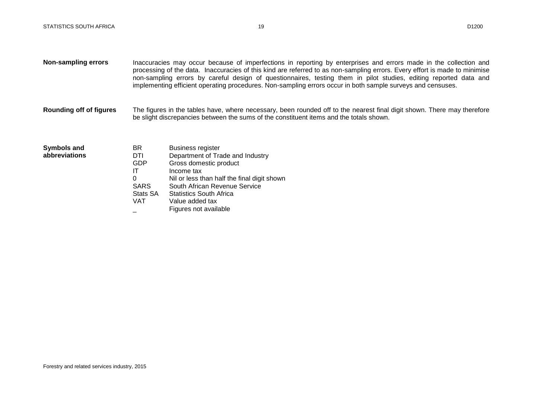- **Non-sampling errors** Inaccuracies may occur because of imperfections in reporting by enterprises and errors made in the collection and processing of the data. Inaccuracies of this kind are referred to as non-sampling errors. Every effort is made to minimise non-sampling errors by careful design of questionnaires, testing them in pilot studies, editing reported data and implementing efficient operating procedures. Non-sampling errors occur in both sample surveys and censuses.
- **Rounding off of figures** The figures in the tables have, where necessary, been rounded off to the nearest final digit shown. There may therefore be slight discrepancies between the sums of the constituent items and the totals shown.

| Symbols and   |  |
|---------------|--|
| abbreviations |  |

| BR.         | <b>Business register</b>                    |
|-------------|---------------------------------------------|
| DTI         | Department of Trade and Industry            |
| GDP         | Gross domestic product                      |
| ΙT          | Income tax                                  |
| 0           | Nil or less than half the final digit shown |
| <b>SARS</b> | South African Revenue Service               |
| Stats SA    | <b>Statistics South Africa</b>              |
| VAT         | Value added tax                             |
|             | Figures not available                       |
|             |                                             |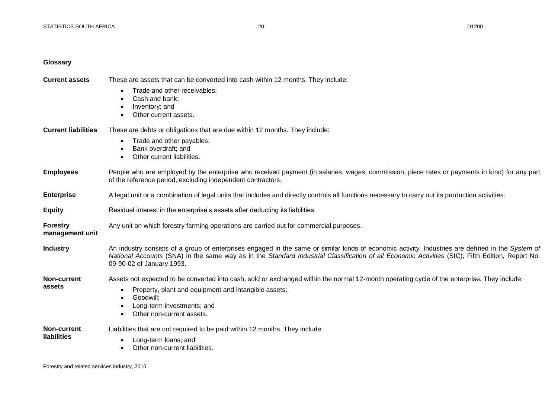#### <span id="page-19-0"></span>**Glossary**

**Current assets** These are assets that can be converted into cash within 12 months. They include:

- Trade and other receivables:
- Cash and bank;
- Inventory; and
- **•** Other current assets.
- **Current liabilities** These are debts or obligations that are due within 12 months. They include:
	- Trade and other payables;
	- Bank overdraft; and
	- Other current liabilities

## **Employees** People who are employed by the enterprise who received payment (in salaries, wages, commission, piece rates or payments in kind) for any part of the reference period, excluding independent contractors.

**Enterprise** A legal unit or a combination of legal units that includes and directly controls all functions necessary to carry out its production activities.

- **Equity** Residual interest in the enterprise's assets after deducting its liabilities.
- **Forestry**  Any unit on which forestry farming operations are carried out for commercial purposes.

**management unit**

**assets**

- **Industry** An industry consists of a group of enterprises engaged in the same or similar kinds of economic activity. Industries are defined in the *System of National Accounts* (SNA) in the same way as in the *Standard Industrial Classification of all Economic Activities* (SIC), Fifth Edition, Report No. 09-90-02 of January 1993.
- **Non-current**  Assets not expected to be converted into cash, sold or exchanged within the normal 12-month operating cycle of the enterprise. They include:
	- Property, plant and equipment and intangible assets;

Liabilities that are not required to be paid within 12 months. They include:

- Goodwill:
- Long-term investments; and
- Other non-current assets
- **Non-current liabilities**
- Long-term loans; and
- Other non-current liabilities.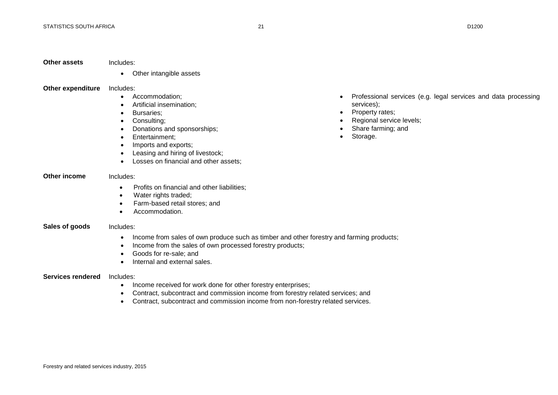#### **Other assets** Includes:

Other intangible assets

#### **Other expenditure** Includes:

- Accommodation:
- Artificial insemination;
- Bursaries;
- Consulting;
- Donations and sponsorships;
- Entertainment:
- Imports and exports;
- Leasing and hiring of livestock;
- Losses on financial and other assets:

## **Other income** Includes:

- Profits on financial and other liabilities;
- Water rights traded:
- Farm-based retail stores: and
- Accommodation.

#### **Sales of goods** Includes:

- Income from sales of own produce such as timber and other forestry and farming products;
- Income from the sales of own processed forestry products;
- Goods for re-sale; and
- Internal and external sales.

#### **Services rendered** Includes:

- Income received for work done for other forestry enterprises;
- Contract, subcontract and commission income from forestry related services; and
- Contract, subcontract and commission income from non-forestry related services.
- Professional services (e.g. legal services and data processing services);
- Property rates;
- Regional service levels;
- Share farming; and
- Storage.